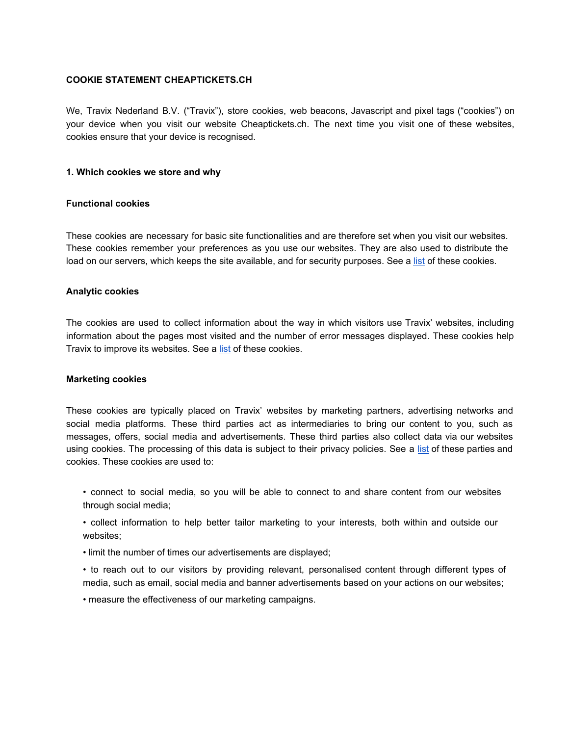## **COOKIE STATEMENT CHEAPTICKETS.CH**

We, Travix Nederland B.V. ("Travix"), store cookies, web beacons, Javascript and pixel tags ("cookies") on your device when you visit our website Cheaptickets.ch. The next time you visit one of these websites, cookies ensure that your device is recognised.

### **1. Which cookies we store and why**

### **Functional cookies**

These cookies are necessary for basic site functionalities and are therefore set when you visit our websites. These cookies remember your preferences as you use our websites. They are also used to distribute the load on our servers, which keeps the site available, and for security purposes. See a [list](https://www.cheaptickets.ch/en/cookie-list) of these cookies.

## **Analytic cookies**

The cookies are used to collect information about the way in which visitors use Travix' websites, including information about the pages most visited and the number of error messages displayed. These cookies help Travix to improve its websites. See a [list](https://www.cheaptickets.ch/en/cookie-list) of these cookies.

### **Marketing cookies**

These cookies are typically placed on Travix' websites by marketing partners, advertising networks and social media platforms. These third parties act as intermediaries to bring our content to you, such as messages, offers, social media and advertisements. These third parties also collect data via our websites using cookies. The processing of this data is subject to their privacy policies. See a [list](https://www.cheaptickets.ch/en/cookie-list) of these parties and cookies. These cookies are used to:

• connect to social media, so you will be able to connect to and share content from our websites through social media;

• collect information to help better tailor marketing to your interests, both within and outside our websites;

• limit the number of times our advertisements are displayed;

• to reach out to our visitors by providing relevant, personalised content through different types of media, such as email, social media and banner advertisements based on your actions on our websites;

• measure the effectiveness of our marketing campaigns.